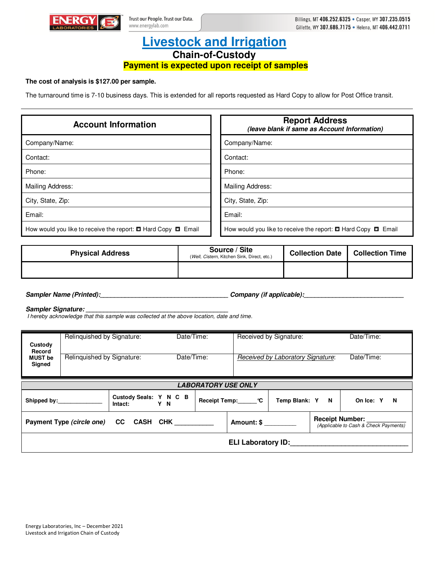

## **Livestock and Irrigation Chain-of-Custody Payment is expected upon receipt of samples**

## **The cost of analysis is \$127.00 per sample.**

The turnaround time is 7-10 business days. This is extended for all reports requested as Hard Copy to allow for Post Office transit.

| <b>Account Information</b>                                              | <b>Report Address</b><br>(leave blank if same as Account Information)   |
|-------------------------------------------------------------------------|-------------------------------------------------------------------------|
| Company/Name:                                                           | Company/Name:                                                           |
| Contact:                                                                | Contact:                                                                |
| Phone:                                                                  | Phone:                                                                  |
| Mailing Address:                                                        | Mailing Address:                                                        |
| City, State, Zip:                                                       | City, State, Zip:                                                       |
| Email:                                                                  | Email:                                                                  |
| How would you like to receive the report: $\Box$ Hard Copy $\Box$ Email | How would you like to receive the report: $\Box$ Hard Copy $\Box$ Email |

| <b>Physical Address</b> | Source / Site<br>(Well, Cistern, Kitchen Sink, Direct, etc.) | <b>Collection Date</b> | <b>Collection Time</b> |
|-------------------------|--------------------------------------------------------------|------------------------|------------------------|
|                         |                                                              |                        |                        |

**Sampler Name (Printed):\_\_\_\_\_\_\_\_\_\_\_\_\_\_\_\_\_\_\_\_\_\_\_\_\_\_\_\_\_\_\_\_\_\_\_\_ Company (if applicable):\_\_\_\_\_\_\_\_\_\_\_\_\_\_\_\_\_\_\_\_\_\_\_\_\_\_\_\_** 

Sampler Signature:

I hereby acknowledge that this sample was collected at the above location, date and time.

| Custody                                                                                                                                         | Relinquished by Signature: |                                          | Date/Time: |  | Received by Signature: |                                   |  | Date/Time:     |
|-------------------------------------------------------------------------------------------------------------------------------------------------|----------------------------|------------------------------------------|------------|--|------------------------|-----------------------------------|--|----------------|
| Record<br><b>MUST</b> be<br>Signed                                                                                                              | Relinquished by Signature: |                                          | Date/Time: |  |                        | Received by Laboratory Signature: |  | Date/Time:     |
| <b>LABORATORY USE ONLY</b>                                                                                                                      |                            |                                          |            |  |                        |                                   |  |                |
|                                                                                                                                                 |                            | Custody Seals: Y N C B<br>Intact:<br>Y N |            |  | Receipt Temp: C        | Temp Blank: Y N                   |  | On Ice: Y<br>N |
| <b>Receipt Number:</b><br><b>CC</b><br>CASH CHK <b>SALL</b><br>Payment Type (circle one)<br>Amount: \$<br>(Applicable to Cash & Check Payments) |                            |                                          |            |  |                        |                                   |  |                |
| <b>ELI Laboratory ID:</b>                                                                                                                       |                            |                                          |            |  |                        |                                   |  |                |